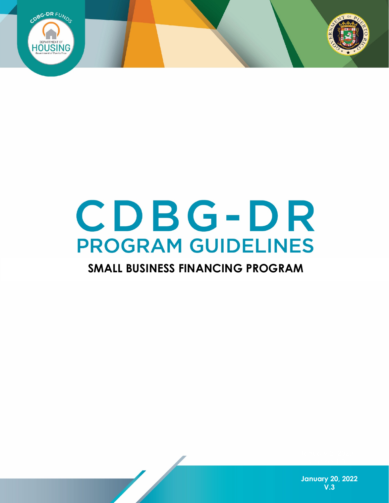



# CDBG-DR **PROGRAM GUIDELINES**

# **SMALL BUSINESS FINANCING PROGRAM**

**January 20, 2022 V.3**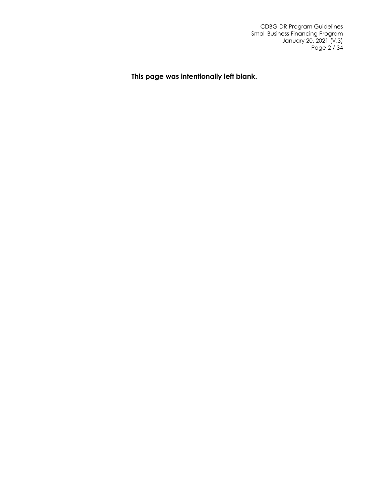CDBG-DR Program Guidelines Small Business Financing Program January 20, 2021 (V.3) Page 2 / 34

**This page was intentionally left blank.**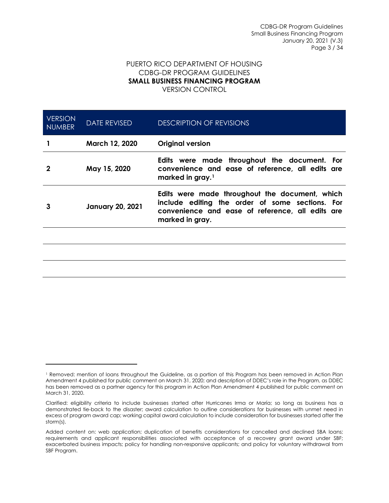CDBG-DR Program Guidelines Small Business Financing Program January 20, 2021 (V.3) Page 3 / 34

#### PUERTO RICO DEPARTMENT OF HOUSING CDBG-DR PROGRAM GUIDELINES **SMALL BUSINESS FINANCING PROGRAM** VERSION CONTROL

**VERSION** NUMBER DATE REVISED DESCRIPTION OF REVISIONS **1 March 12, 2020 Original version 2 May 15, 2020 Edits were made throughout the document. For convenience and ease of reference, all edits are marked in gray.[1](#page-2-0) 3 January 20, 2021 Edits were made throughout the document, which include editing the order of some sections. For convenience and ease of reference, all edits are marked in gray.**

 $\overline{a}$ 

<span id="page-2-0"></span><sup>1</sup> Removed: mention of loans throughout the Guideline, as a portion of this Program has been removed in Action Plan Amendment 4 published for public comment on March 31, 2020; and description of DDEC's role in the Program, as DDEC has been removed as a partner agency for this program in Action Plan Amendment 4 published for public comment on March 31, 2020.

Clarified: eligibility criteria to include businesses started after Hurricanes Irma or María; so long as business has a demonstrated tie-back to the disaster; award calculation to outline considerations for businesses with unmet need in excess of program award cap; working capital award calculation to include consideration for businesses started after the storm(s).

Added content on: web application; duplication of benefits considerations for cancelled and declined SBA loans; requirements and applicant responsibilities associated with acceptance of a recovery grant award under SBF; exacerbated business impacts; policy for handling non-responsive applicants; and policy for voluntary withdrawal from SBF Program.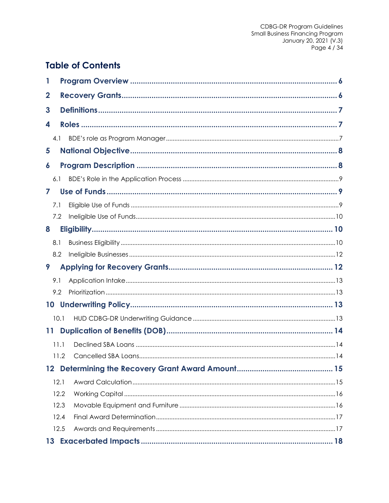# **Table of Contents**

| 1           |      |  |
|-------------|------|--|
| $\mathbf 2$ |      |  |
| 3           |      |  |
| 4           |      |  |
|             | 4.1  |  |
| 5           |      |  |
| 6           |      |  |
|             | 6.1  |  |
| 7           |      |  |
|             | 7.1  |  |
|             | 7.2  |  |
| 8           |      |  |
|             | 8.1  |  |
|             | 8.2  |  |
| 9           |      |  |
|             | 9.1  |  |
|             | 9.2  |  |
|             |      |  |
|             | 10.1 |  |
| 11          |      |  |
|             | 11.1 |  |
|             | 11.2 |  |
|             |      |  |
|             | 12.1 |  |
|             | 12.2 |  |
|             | 12.3 |  |
|             | 12.4 |  |
|             | 12.5 |  |
|             |      |  |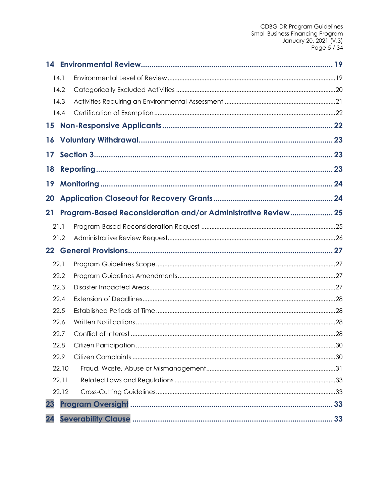|    | 14.1  |                                                               |  |  |  |
|----|-------|---------------------------------------------------------------|--|--|--|
|    | 14.2  |                                                               |  |  |  |
|    | 14.3  |                                                               |  |  |  |
|    | 14.4  |                                                               |  |  |  |
| 15 |       |                                                               |  |  |  |
| 16 |       |                                                               |  |  |  |
| 17 |       |                                                               |  |  |  |
| 18 |       |                                                               |  |  |  |
| 19 |       |                                                               |  |  |  |
| 20 |       |                                                               |  |  |  |
| 21 |       | Program-Based Reconsideration and/or Administrative Review 25 |  |  |  |
|    | 21.1  |                                                               |  |  |  |
|    | 21.2  |                                                               |  |  |  |
|    |       |                                                               |  |  |  |
|    | 22.1  |                                                               |  |  |  |
|    | 22.2  |                                                               |  |  |  |
|    | 22.3  |                                                               |  |  |  |
|    | 22.4  |                                                               |  |  |  |
|    | 22.5  |                                                               |  |  |  |
|    | 22.6  |                                                               |  |  |  |
|    | 22.7  |                                                               |  |  |  |
|    | 22.8  |                                                               |  |  |  |
|    | 22.9  |                                                               |  |  |  |
|    | 22.10 |                                                               |  |  |  |
|    | 22.11 |                                                               |  |  |  |
|    | 22.12 |                                                               |  |  |  |
| 23 |       |                                                               |  |  |  |
| 24 |       |                                                               |  |  |  |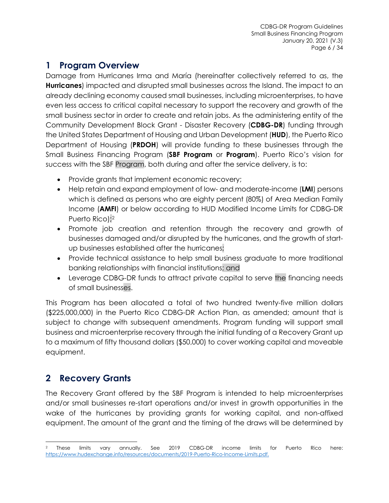# <span id="page-5-0"></span>**1 Program Overview**

Damage from Hurricanes Irma and María (hereinafter collectively referred to as, the **Hurricanes**) impacted and disrupted small businesses across the Island. The impact to an already declining economy caused small businesses, including microenterprises, to have even less access to critical capital necessary to support the recovery and growth of the small business sector in order to create and retain jobs. As the administering entity of the Community Development Block Grant - Disaster Recovery (**CDBG-DR**) funding through the United States Department of Housing and Urban Development (**HUD**), the Puerto Rico Department of Housing (**PRDOH**) will provide funding to these businesses through the Small Business Financing Program (**SBF Program** or **Program**). Puerto Rico's vision for success with the SBF Program, both during and after the service delivery, is to:

- Provide grants that implement economic recovery;
- Help retain and expand employment of low- and moderate-income (**LMI**) persons which is defined as persons who are eighty percent (80%) of Area Median Family Income (**AMFI**) or below according to HUD Modified Income Limits for CDBG-DR Puerto Rico);[2](#page-5-2)
- Promote job creation and retention through the recovery and growth of businesses damaged and/or disrupted by the hurricanes, and the growth of startup businesses established after the hurricanes;
- Provide technical assistance to help small business graduate to more traditional banking relationships with financial institutions; and
- Leverage CDBG-DR funds to attract private capital to serve the financing needs of small businesses.

This Program has been allocated a total of two hundred twenty-five million dollars (\$225,000,000) in the Puerto Rico CDBG-DR Action Plan, as amended; amount that is subject to change with subsequent amendments. Program funding will support small business and microenterprise recovery through the initial funding of a Recovery Grant up to a maximum of fifty thousand dollars (\$50,000) to cover working capital and moveable equipment.

# <span id="page-5-1"></span>**2 Recovery Grants**

The Recovery Grant offered by the SBF Program is intended to help microenterprises and/or small businesses re-start operations and/or invest in growth opportunities in the wake of the hurricanes by providing grants for working capital, and non-affixed equipment. The amount of the grant and the timing of the draws will be determined by

<span id="page-5-2"></span> <sup>2</sup> These limits vary annually. See 2019 CDBG-DR income limits for Puerto Rico here: [https://www.hudexchange.info/resources/documents/2019-Puerto-Rico-Income-Limits.pdf.](https://www.hudexchange.info/resources/documents/2019-Puerto-Rico-Income-Limits.pdf)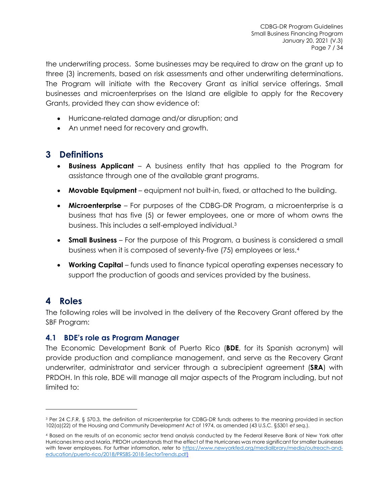the underwriting process. Some businesses may be required to draw on the grant up to three (3) increments, based on risk assessments and other underwriting determinations. The Program will initiate with the Recovery Grant as initial service offerings. Small businesses and microenterprises on the Island are eligible to apply for the Recovery Grants, provided they can show evidence of:

- Hurricane-related damage and/or disruption; and
- An unmet need for recovery and growth.

# <span id="page-6-0"></span>**3 Definitions**

- **Business Applicant** A business entity that has applied to the Program for assistance through one of the available grant programs.
- **Movable Equipment**  equipment not built-in, fixed, or attached to the building.
- **Microenterprise** For purposes of the CDBG-DR Program, a microenterprise is a business that has five (5) or fewer employees, one or more of whom owns the business. This includes a self-employed individual.[3](#page-6-3)
- **Small Business** For the purpose of this Program, a business is considered a small business when it is composed of seventy-five (75) employees or less.[4](#page-6-4)
- **Working Capital** funds used to finance typical operating expenses necessary to support the production of goods and services provided by the business.

# <span id="page-6-1"></span>**4 Roles**

 $\overline{a}$ 

The following roles will be involved in the delivery of the Recovery Grant offered by the SBF Program:

#### <span id="page-6-2"></span>**4.1 BDE's role as Program Manager**

The Economic Development Bank of Puerto Rico (**BDE**, for its Spanish acronym) will provide production and compliance management, and serve as the Recovery Grant underwriter, administrator and servicer through a subrecipient agreement (**SRA**) with PRDOH. In this role, BDE will manage all major aspects of the Program including, but not limited to:

<span id="page-6-3"></span><sup>3</sup> Per 24 C.F.R. § 570.3, the definition of microenterprise for CDBG-DR funds adheres to the meaning provided in section 102(a)(22) of the Housing and Community Development Act of 1974, as amended (43 U.S.C. §5301 *et seq.*).

<span id="page-6-4"></span><sup>4</sup> Based on the results of an economic sector trend analysis conducted by the Federal Reserve Bank of New York after Hurricanes Irma and María, PRDOH understands that the effect of the Hurricanes was more significant for smaller businesses with fewer employees. For further information, refer to [https://www.newyorkfed.org/medialibrary/media/outreach-and](https://www.newyorkfed.org/medialibrary/media/outreach-and-education/puerto-rico/2018/PRSBS-2018-SectorTrends.pdf)[education/puerto-rico/2018/PRSBS-2018-SectorTrends.pdf\)](https://www.newyorkfed.org/medialibrary/media/outreach-and-education/puerto-rico/2018/PRSBS-2018-SectorTrends.pdf)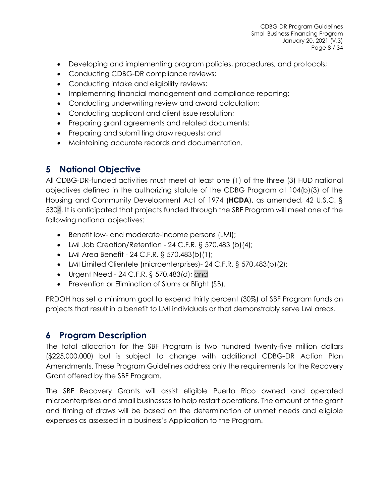- Developing and implementing program policies, procedures, and protocols;
- Conducting CDBG-DR compliance reviews;
- Conducting intake and eligibility reviews;
- Implementing financial management and compliance reporting;
- Conducting underwriting review and award calculation;
- Conducting applicant and client issue resolution;
- Preparing grant agreements and related documents;
- Preparing and submitting draw requests; and
- Maintaining accurate records and documentation.

# <span id="page-7-0"></span>**5 National Objective**

All CDBG-DR-funded activities must meet at least one (1) of the three (3) HUD national objectives defined in the authorizing statute of the CDBG Program at 104(b)(3) of the Housing and Community Development Act of 1974 (**HCDA**), as amended, 42 U.S.C. § 5304. It is anticipated that projects funded through the SBF Program will meet one of the following national objectives:

- Benefit low- and moderate-income persons (LMI);
- LMI Job Creation/Retention 24 C.F.R.  $\S$  570.483 (b)(4);
- LMI Area Benefit 24 C.F.R.  $\S$  570.483(b)(1);
- LMI Limited Clientele (microenterprises) 24 C.F.R. § 570.483(b)(2);
- Urgent Need 24 C.F.R. § 570.483(d); and
- Prevention or Elimination of Slums or Blight (SB).

PRDOH has set a minimum goal to expend thirty percent (30%) of SBF Program funds on projects that result in a benefit to LMI individuals or that demonstrably serve LMI areas.

## <span id="page-7-1"></span>**6 Program Description**

The total allocation for the SBF Program is two hundred twenty-five million dollars (\$225,000,000) but is subject to change with additional CDBG-DR Action Plan Amendments. These Program Guidelines address only the requirements for the Recovery Grant offered by the SBF Program.

The SBF Recovery Grants will assist eligible Puerto Rico owned and operated microenterprises and small businesses to help restart operations. The amount of the grant and timing of draws will be based on the determination of unmet needs and eligible expenses as assessed in a business's Application to the Program.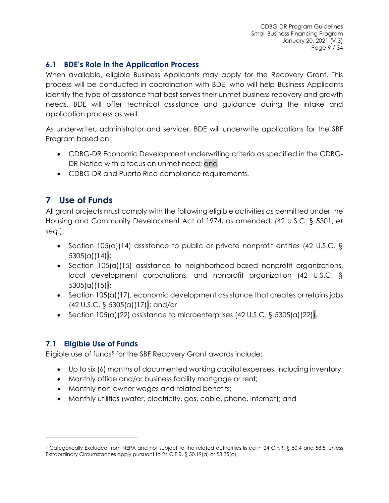#### <span id="page-8-0"></span>**6.1 BDE's Role in the Application Process**

When available, eligible Business Applicants may apply for the Recovery Grant. This process will be conducted in coordination with BDE, who will help Business Applicants identify the type of assistance that best serves their unmet business recovery and growth needs. BDE will offer technical assistance and guidance during the intake and application process as well.

As underwriter, administrator and servicer, BDE will underwrite applications for the SBF Program based on:

- CDBG-DR Economic Development underwriting criteria as specified in the CDBG-DR Notice with a focus on unmet need; and
- CDBG-DR and Puerto Rico compliance requirements.

# <span id="page-8-1"></span>**7 Use of Funds**

All grant projects must comply with the following eligible activities as permitted under the Housing and Community Development Act of 1974, as amended, (42 U.S.C. § 5301, *et seq.*):

- Section 105(a)(14) assistance to public or private nonprofit entities (42 U.S.C. § 5305(a)(14));
- Section 105(a)(15) assistance to neighborhood-based nonprofit organizations, local development corporations, and nonprofit organization (42 U.S.C. § 5305(a)(15));
- Section 105(a)(17), economic development assistance that creates or retains jobs (42 U.S.C. § 5305(a)(17)); and/or
- Section 105(a)(22) assistance to microenterprises (42 U.S.C. § 5305(a)(22)).

#### <span id="page-8-2"></span>**7.1 Eligible Use of Funds**

 $\overline{a}$ 

Eligible use of funds<sup>[5](#page-8-3)</sup> for the SBF Recovery Grant awards include:

- Up to six (6) months of documented working capital expenses, including inventory;
- Monthly office and/or business facility mortgage or rent;
- Monthly non-owner wages and related benefits;
- Monthly utilities (water, electricity, gas, cable, phone, internet); and

<span id="page-8-3"></span><sup>5</sup> Categorically Excluded from NEPA and not subject to the related authorities listed in 24 C.F.R. § 50.4 and 58.5, unless Extraordinary Circumstances apply pursuant to 24 C.F.R. § 50.19(a) or 58.35(c).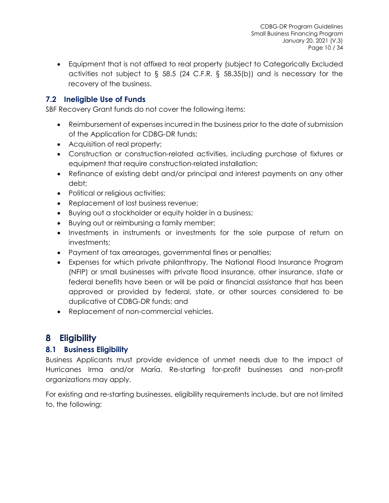• Equipment that is not affixed to real property (subject to Categorically Excluded activities not subject to § 58.5 (24 C.F.R. § 58.35(b)) and is necessary for the recovery of the business.

## <span id="page-9-0"></span>**7.2 Ineligible Use of Funds**

SBF Recovery Grant funds do not cover the following items:

- Reimbursement of expenses incurred in the business prior to the date of submission of the Application for CDBG-DR funds;
- Acquisition of real property;
- Construction or construction-related activities, including purchase of fixtures or equipment that require construction-related installation;
- Refinance of existing debt and/or principal and interest payments on any other debt;
- Political or religious activities;
- Replacement of lost business revenue;
- Buying out a stockholder or equity holder in a business;
- Buying out or reimbursing a family member;
- Investments in instruments or investments for the sole purpose of return on investments;
- Payment of tax arrearages, governmental fines or penalties;
- Expenses for which private philanthropy, The National Flood Insurance Program (NFIP) or small businesses with private flood insurance, other insurance, state or federal benefits have been or will be paid or financial assistance that has been approved or provided by federal, state, or other sources considered to be duplicative of CDBG-DR funds; and
- Replacement of non-commercial vehicles.

# <span id="page-9-1"></span>**8 Eligibility**

## <span id="page-9-2"></span>**8.1 Business Eligibility**

Business Applicants must provide evidence of unmet needs due to the impact of Hurricanes Irma and/or María. Re-starting for-profit businesses and non-profit organizations may apply.

For existing and re-starting businesses, eligibility requirements include, but are not limited to, the following: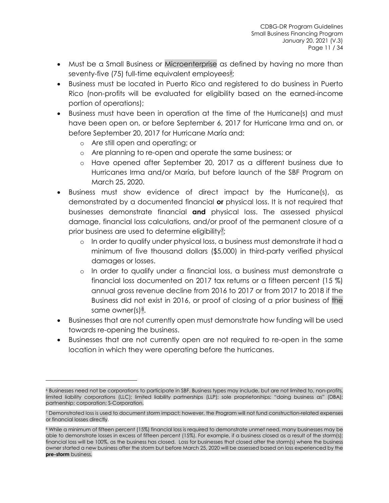- Must be a Small Business or Microenterprise as defined by having no more than seventy-five (75) full-time equivalent employees<sup>6</sup>;
- Business must be located in Puerto Rico and registered to do business in Puerto Rico (non-profits will be evaluated for eligibility based on the earned-income portion of operations);
- Business must have been in operation at the time of the Hurricane(s) and must have been open on, or before September 6, 2017 for Hurricane Irma and on, or before September 20, 2017 for Hurricane María and:
	- o Are still open and operating; or

 $\overline{a}$ 

- o Are planning to re-open and operate the same business; or
- o Have opened after September 20, 2017 as a different business due to Hurricanes Irma and/or María, but before launch of the SBF Program on March 25, 2020.
- Business must show evidence of direct impact by the Hurricane(s), as demonstrated by a documented financial **or** physical loss. It is not required that businesses demonstrate financial **and** physical loss. The assessed physical damage, financial loss calculations, and/or proof of the permanent closure of a prior business are used to determine eligibility<sup>7</sup>;
	- o In order to qualify under physical loss, a business must demonstrate it had a minimum of five thousand dollars (\$5,000) in third-party verified physical damages or losses.
	- o In order to qualify under a financial loss, a business must demonstrate a financial loss documented on 2017 tax returns or a fifteen percent (15 %) annual gross revenue decline from 2016 to 2017 or from 2017 to 2018 if the Business did not exist in 2016, or proof of closing of a prior business of the same owner(s)<sup>8</sup>.
- Businesses that are not currently open must demonstrate how funding will be used towards re-opening the business.
- Businesses that are not currently open are not required to re-open in the same location in which they were operating before the hurricanes.

<span id="page-10-0"></span><sup>6</sup> Businesses need not be corporations to participate in SBF. Business types may include, but are not limited to, non-profits, limited liability corporations (LLC); limited liability partnerships (LLP); sole proprietorships; "doing business as" (DBA); partnership; corporation; S-Corporation.

<span id="page-10-1"></span><sup>7</sup> Demonstrated loss is used to document storm impact; however, the Program will not fund construction-related expenses or financial losses directly.

<span id="page-10-2"></span><sup>&</sup>lt;sup>8</sup> While a minimum of fifteen percent (15%) financial loss is required to demonstrate unmet need, many businesses may be able to demonstrate losses in excess of fifteen percent (15%). For example, if a business closed as a result of the storm(s); financial loss will be 100%, as the business has closed. Loss for businesses that closed after the storm(s) where the business owner started a new business after the storm but before March 25, 2020 will be assessed based on loss experienced by the **pre-storm** business.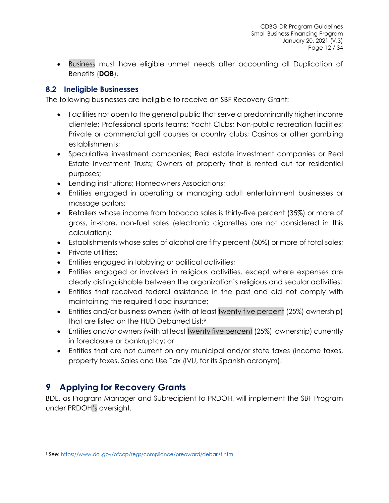• Business must have eligible unmet needs after accounting all Duplication of Benefits (**DOB**).

## <span id="page-11-0"></span>**8.2 Ineligible Businesses**

The following businesses are ineligible to receive an SBF Recovery Grant:

- Facilities not open to the general public that serve a predominantly higher income clientele; Professional sports teams; Yacht Clubs; Non-public recreation facilities; Private or commercial golf courses or country clubs; Casinos or other gambling establishments;
- Speculative investment companies; Real estate investment companies or Real Estate Investment Trusts; Owners of property that is rented out for residential purposes;
- Lending institutions; Homeowners Associations;
- Entities engaged in operating or managing adult entertainment businesses or massage parlors;
- Retailers whose income from tobacco sales is thirty-five percent (35%) or more of gross, in-store, non-fuel sales (electronic cigarettes are not considered in this calculation);
- Establishments whose sales of alcohol are fifty percent (50%) or more of total sales;
- Private utilities:

 $\overline{a}$ 

- Entities engaged in lobbying or political activities;
- Entities engaged or involved in religious activities, except where expenses are clearly distinguishable between the organization's religious and secular activities;
- Entities that received federal assistance in the past and did not comply with maintaining the required flood insurance;
- Entities and/or business owners (with at least twenty five percent (25%) ownership) that are listed on the HUD Debarred List;[9](#page-11-2)
- Entities and/or owners (with at least twenty five percent (25%) ownership) currently in foreclosure or bankruptcy; or
- Entities that are not current on any municipal and/or state taxes (income taxes, property taxes, Sales and Use Tax (IVU, for its Spanish acronym).

# <span id="page-11-1"></span>**9 Applying for Recovery Grants**

BDE, as Program Manager and Subrecipient to PRDOH, will implement the SBF Program under PRDOH's oversight.

<span id="page-11-2"></span><sup>9</sup> See:<https://www.dol.gov/ofccp/regs/compliance/preaward/debarlst.htm>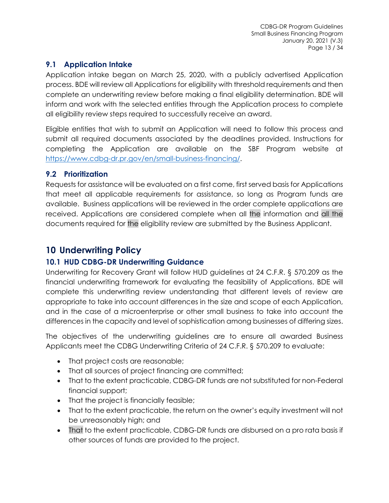## <span id="page-12-0"></span>**9.1 Application Intake**

Application intake began on March 25, 2020, with a publicly advertised Application process. BDE will review all Applications for eligibility with threshold requirements and then complete an underwriting review before making a final eligibility determination. BDE will inform and work with the selected entities through the Application process to complete all eligibility review steps required to successfully receive an award.

Eligible entities that wish to submit an Application will need to follow this process and submit all required documents associated by the deadlines provided. Instructions for completing the Application are available on the SBF Program website at [https://www.cdbg-dr.pr.gov/en/small-business-financing/.](https://www.cdbg-dr.pr.gov/en/small-business-financing/)

#### <span id="page-12-1"></span>**9.2 Prioritization**

Requests for assistance will be evaluated on a first come, first served basis for Applications that meet all applicable requirements for assistance, so long as Program funds are available. Business applications will be reviewed in the order complete applications are received. Applications are considered complete when all the information and all the documents required for the eligibility review are submitted by the Business Applicant.

## <span id="page-12-2"></span>**10 Underwriting Policy**

## <span id="page-12-3"></span>**10.1 HUD CDBG-DR Underwriting Guidance**

Underwriting for Recovery Grant will follow HUD guidelines at 24 C.F.R. § 570.209 as the financial underwriting framework for evaluating the feasibility of Applications. BDE will complete this underwriting review understanding that different levels of review are appropriate to take into account differences in the size and scope of each Application, and in the case of a microenterprise or other small business to take into account the differences in the capacity and level of sophistication among businesses of differing sizes.

The objectives of the underwriting guidelines are to ensure all awarded Business Applicants meet the CDBG Underwriting Criteria of 24 C.F.R. § 570.209 to evaluate:

- That project costs are reasonable;
- That all sources of project financing are committed;
- That to the extent practicable, CDBG-DR funds are not substituted for non-Federal financial support;
- That the project is financially feasible;
- That to the extent practicable, the return on the owner's equity investment will not be unreasonably high; and
- That to the extent practicable, CDBG-DR funds are disbursed on a pro rata basis if other sources of funds are provided to the project.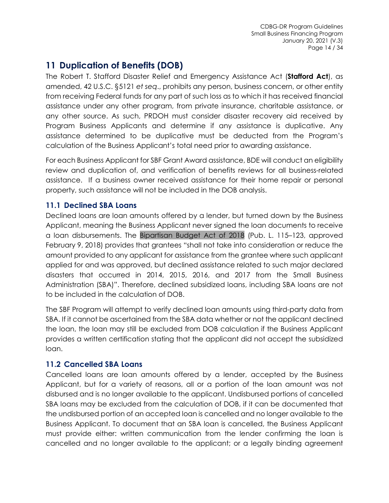# <span id="page-13-0"></span>**11 Duplication of Benefits (DOB)**

The Robert T. Stafford Disaster Relief and Emergency Assistance Act (**Stafford Act**), as amended, 42 U.S.C. §5121 *et seq*., prohibits any person, business concern, or other entity from receiving Federal funds for any part of such loss as to which it has received financial assistance under any other program, from private insurance, charitable assistance, or any other source. As such, PRDOH must consider disaster recovery aid received by Program Business Applicants and determine if any assistance is duplicative. Any assistance determined to be duplicative must be deducted from the Program's calculation of the Business Applicant's total need prior to awarding assistance.

For each Business Applicant for SBF Grant Award assistance, BDE will conduct an eligibility review and duplication of, and verification of benefits reviews for all business-related assistance. If a business owner received assistance for their home repair or personal property, such assistance will not be included in the DOB analysis.

## <span id="page-13-1"></span>**11.1 Declined SBA Loans**

Declined loans are loan amounts offered by a lender, but turned down by the Business Applicant, meaning the Business Applicant never signed the loan documents to receive a loan disbursements. The Bipartisan Budget Act of 2018 (Pub. L. 115–123, approved February 9, 2018) provides that grantees "shall not take into consideration or reduce the amount provided to any applicant for assistance from the grantee where such applicant applied for and was approved, but declined assistance related to such major declared disasters that occurred in 2014, 2015, 2016, and 2017 from the Small Business Administration (SBA)". Therefore, declined subsidized loans, including SBA loans are not to be included in the calculation of DOB.

The SBF Program will attempt to verify declined loan amounts using third-party data from SBA. If it cannot be ascertained from the SBA data whether or not the applicant declined the loan, the loan may still be excluded from DOB calculation if the Business Applicant provides a written certification stating that the applicant did not accept the subsidized loan.

#### <span id="page-13-2"></span>**11.2 Cancelled SBA Loans**

Cancelled loans are loan amounts offered by a lender, accepted by the Business Applicant, but for a variety of reasons, all or a portion of the loan amount was not disbursed and is no longer available to the applicant. Undisbursed portions of cancelled SBA loans may be excluded from the calculation of DOB, if it can be documented that the undisbursed portion of an accepted loan is cancelled and no longer available to the Business Applicant. To document that an SBA loan is cancelled, the Business Applicant must provide either: written communication from the lender confirming the loan is cancelled and no longer available to the applicant; or a legally binding agreement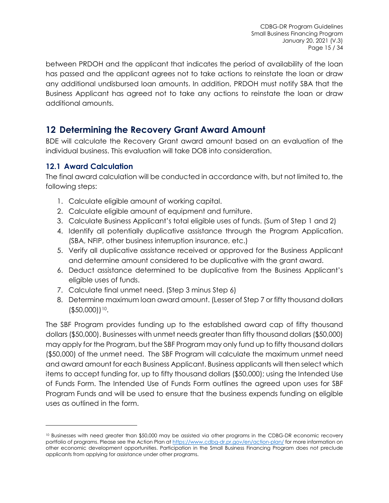between PRDOH and the applicant that indicates the period of availability of the loan has passed and the applicant agrees not to take actions to reinstate the loan or draw any additional undisbursed loan amounts. In addition, PRDOH must notify SBA that the Business Applicant has agreed not to take any actions to reinstate the loan or draw additional amounts.

# <span id="page-14-0"></span>**12 Determining the Recovery Grant Award Amount**

BDE will calculate the Recovery Grant award amount based on an evaluation of the individual business. This evaluation will take DOB into consideration.

#### <span id="page-14-1"></span>**12.1 Award Calculation**

 $\overline{a}$ 

The final award calculation will be conducted in accordance with, but not limited to, the following steps:

- 1. Calculate eligible amount of working capital.
- 2. Calculate eligible amount of equipment and furniture.
- 3. Calculate Business Applicant's total eligible uses of funds. (Sum of Step 1 and 2)
- 4. Identify all potentially duplicative assistance through the Program Application. (SBA, NFIP, other business interruption insurance, etc.)
- 5. Verify all duplicative assistance received or approved for the Business Applicant and determine amount considered to be duplicative with the grant award.
- 6. Deduct assistance determined to be duplicative from the Business Applicant's eligible uses of funds.
- 7. Calculate final unmet need. (Step 3 minus Step 6)
- 8. Determine maximum loan award amount. (Lesser of Step 7 or fifty thousand dollars  $($ \$50,000) $)$ <sup>[10](#page-14-2)</sup>.

The SBF Program provides funding up to the established award cap of fifty thousand dollars (\$50,000). Businesses with unmet needs greater than fifty thousand dollars (\$50,000) may apply for the Program, but the SBF Program may only fund up to fifty thousand dollars (\$50,000) of the unmet need. The SBF Program will calculate the maximum unmet need and award amount for each Business Applicant. Business applicants will then select which items to accept funding for, up to fifty thousand dollars (\$50,000); using the Intended Use of Funds Form. The Intended Use of Funds Form outlines the agreed upon uses for SBF Program Funds and will be used to ensure that the business expends funding on eligible uses as outlined in the form.

<span id="page-14-2"></span><sup>10</sup> Businesses with need greater than \$50,000 may be assisted via other programs in the CDBG-DR economic recovery portfolio of programs. Please see the Action Plan a[t https://www.cdbg-dr.pr.gov/en/action-plan/](https://www.cdbg-dr.pr.gov/en/action-plan/) for more information on other economic development opportunities. Participation in the Small Business Financing Program does not preclude applicants from applying for assistance under other programs.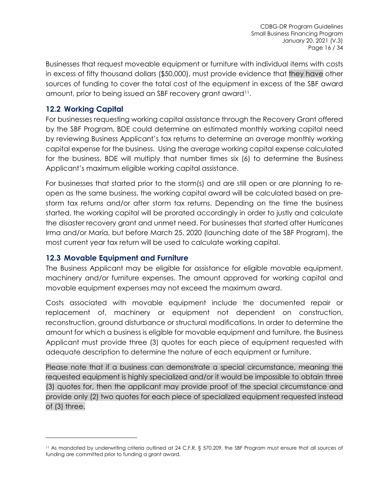Businesses that request moveable equipment or furniture with individual items with costs in excess of fifty thousand dollars (\$50,000), must provide evidence that they have other sources of funding to cover the total cost of the equipment in excess of the SBF award amount, prior to being issued an SBF recovery grant award<sup>11</sup>.

## <span id="page-15-0"></span>**12.2 Working Capital**

 $\overline{a}$ 

For businesses requesting working capital assistance through the Recovery Grant offered by the SBF Program, BDE could determine an estimated monthly working capital need by reviewing Business Applicant's tax returns to determine an average monthly working capital expense for the business. Using the average working capital expense calculated for the business, BDE will multiply that number times six (6) to determine the Business Applicant's maximum eligible working capital assistance.

For businesses that started prior to the storm(s) and are still open or are planning to reopen as the same business, the working capital award will be calculated based on prestorm tax returns and/or after storm tax returns. Depending on the time the business started, the working capital will be prorated accordingly in order to justly and calculate the disaster recovery grant and unmet need. For businesses that started after Hurricanes Irma and/or María, but before March 25, 2020 (launching date of the SBF Program), the most current year tax return will be used to calculate working capital.

#### <span id="page-15-1"></span>**12.3 Movable Equipment and Furniture**

The Business Applicant may be eligible for assistance for eligible movable equipment, machinery and/or furniture expenses. The amount approved for working capital and movable equipment expenses may not exceed the maximum award.

Costs associated with movable equipment include the documented repair or replacement of, machinery or equipment not dependent on construction, reconstruction, ground disturbance or structural modifications. In order to determine the amount for which a business is eligible for movable equipment and furniture, the Business Applicant must provide three (3) quotes for each piece of equipment requested with adequate description to determine the nature of each equipment or furniture.

Please note that if a business can demonstrate a special circumstance, meaning the requested equipment is highly specialized and/or it would be impossible to obtain three (3) quotes for, then the applicant may provide proof of the special circumstance and provide only (2) two quotes for each piece of specialized equipment requested instead of (3) three.

<span id="page-15-2"></span><sup>11</sup> As mandated by underwriting criteria outlined at 24 C.F.R. § 570.209, the SBF Program must ensure that all sources of funding are committed prior to funding a grant award.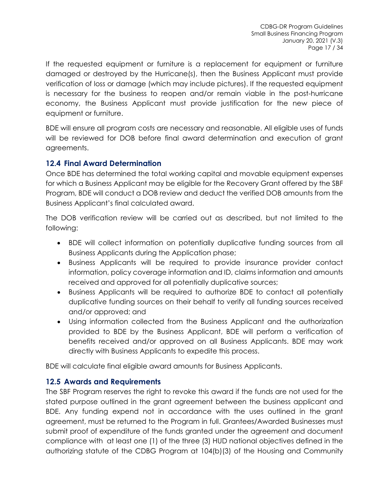If the requested equipment or furniture is a replacement for equipment or furniture damaged or destroyed by the Hurricane(s), then the Business Applicant must provide verification of loss or damage (which may include pictures). If the requested equipment is necessary for the business to reopen and/or remain viable in the post-hurricane economy, the Business Applicant must provide justification for the new piece of equipment or furniture.

BDE will ensure all program costs are necessary and reasonable. All eligible uses of funds will be reviewed for DOB before final award determination and execution of grant agreements.

#### <span id="page-16-0"></span>**12.4 Final Award Determination**

Once BDE has determined the total working capital and movable equipment expenses for which a Business Applicant may be eligible for the Recovery Grant offered by the SBF Program, BDE will conduct a DOB review and deduct the verified DOB amounts from the Business Applicant's final calculated award.

The DOB verification review will be carried out as described, but not limited to the following:

- BDE will collect information on potentially duplicative funding sources from all Business Applicants during the Application phase;
- Business Applicants will be required to provide insurance provider contact information, policy coverage information and ID, claims information and amounts received and approved for all potentially duplicative sources;
- Business Applicants will be required to authorize BDE to contact all potentially duplicative funding sources on their behalf to verify all funding sources received and/or approved; and
- Using information collected from the Business Applicant and the authorization provided to BDE by the Business Applicant, BDE will perform a verification of benefits received and/or approved on all Business Applicants. BDE may work directly with Business Applicants to expedite this process.

BDE will calculate final eligible award amounts for Business Applicants.

#### <span id="page-16-1"></span>**12.5 Awards and Requirements**

The SBF Program reserves the right to revoke this award if the funds are not used for the stated purpose outlined in the grant agreement between the business applicant and BDE. Any funding expend not in accordance with the uses outlined in the grant agreement, must be returned to the Program in full. Grantees/Awarded Businesses must submit proof of expenditure of the funds granted under the agreement and document compliance with at least one (1) of the three (3) HUD national objectives defined in the authorizing statute of the CDBG Program at 104(b)(3) of the Housing and Community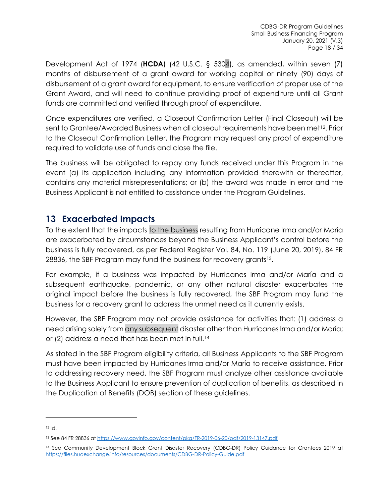Development Act of 1974 (**HCDA**) (42 U.S.C. § 5304), as amended, within seven (7) months of disbursement of a grant award for working capital or ninety (90) days of disbursement of a grant award for equipment, to ensure verification of proper use of the Grant Award, and will need to continue providing proof of expenditure until all Grant funds are committed and verified through proof of expenditure.

Once expenditures are verified, a Closeout Confirmation Letter (Final Closeout) will be sent to Grantee/Awarded Business when all closeout requirements have been met<sup>12</sup>. Prior to the Closeout Confirmation Letter, the Program may request any proof of expenditure required to validate use of funds and close the file.

The business will be obligated to repay any funds received under this Program in the event (a) its application including any information provided therewith or thereafter, contains any material misrepresentations; or (b) the award was made in error and the Business Applicant is not entitled to assistance under the Program Guidelines.

# <span id="page-17-0"></span>**13 Exacerbated Impacts**

To the extent that the impacts to the business resulting from Hurricane Irma and/or María are exacerbated by circumstances beyond the Business Applicant's control before the business is fully recovered, as per Federal Register Vol. 84, No. 119 (June 20, 2019), 84 FR 28836, the SBF Program may fund the business for recovery grants<sup>[13](#page-17-2)</sup>.

For example, if a business was impacted by Hurricanes Irma and/or María and a subsequent earthquake, pandemic, or any other natural disaster exacerbates the original impact before the business is fully recovered, the SBF Program may fund the business for a recovery grant to address the unmet need as it currently exists.

However, the SBF Program may not provide assistance for activities that: (1) address a need arising solely from any subsequent disaster other than Hurricanes Irma and/or María; or (2) address a need that has been met in full.[14](#page-17-3)

As stated in the SBF Program eligibility criteria, all Business Applicants to the SBF Program must have been impacted by Hurricanes Irma and/or María to receive assistance. Prior to addressing recovery need, the SBF Program must analyze other assistance available to the Business Applicant to ensure prevention of duplication of benefits, as described in the Duplication of Benefits (DOB) section of these guidelines.

<span id="page-17-1"></span> $12$  Id.

 $\overline{a}$ 

<span id="page-17-2"></span><sup>13</sup> See 84 FR 28836 a[t https://www.govinfo.gov/content/pkg/FR-2019-06-20/pdf/2019-13147.pdf](https://www.govinfo.gov/content/pkg/FR-2019-06-20/pdf/2019-13147.pdf)

<span id="page-17-3"></span><sup>14</sup> See Community Development Block Grant Disaster Recovery (CDBG-DR) Policy Guidance for Grantees 2019 at <https://files.hudexchange.info/resources/documents/CDBG-DR-Policy-Guide.pdf>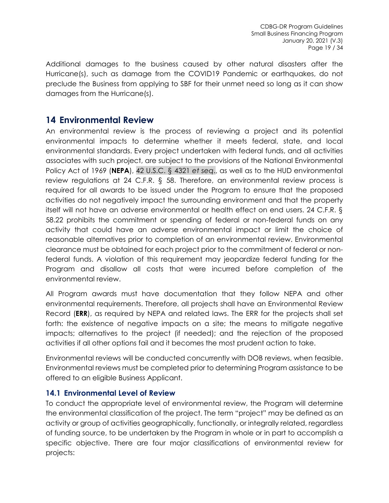Additional damages to the business caused by other natural disasters after the Hurricane(s), such as damage from the COVID19 Pandemic or earthquakes, do not preclude the Business from applying to SBF for their unmet need so long as it can show damages from the Hurricane(s).

## <span id="page-18-0"></span>**14 Environmental Review**

An environmental review is the process of reviewing a project and its potential environmental impacts to determine whether it meets federal, state, and local environmental standards. Every project undertaken with federal funds, and all activities associates with such project, are subject to the provisions of the National Environmental Policy Act of 1969 (**NEPA**), 42 U.S.C. § 4321 *et seq*., as well as to the HUD environmental review regulations at 24 C.F.R. § 58. Therefore, an environmental review process is required for all awards to be issued under the Program to ensure that the proposed activities do not negatively impact the surrounding environment and that the property itself will not have an adverse environmental or health effect on end users. 24 C.F.R. § 58.22 prohibits the commitment or spending of federal or non-federal funds on any activity that could have an adverse environmental impact or limit the choice of reasonable alternatives prior to completion of an environmental review. Environmental clearance must be obtained for each project prior to the commitment of federal or nonfederal funds. A violation of this requirement may jeopardize federal funding for the Program and disallow all costs that were incurred before completion of the environmental review.

All Program awards must have documentation that they follow NEPA and other environmental requirements. Therefore, all projects shall have an Environmental Review Record (**ERR**), as required by NEPA and related laws. The ERR for the projects shall set forth: the existence of negative impacts on a site; the means to mitigate negative impacts; alternatives to the project (if needed); and the rejection of the proposed activities if all other options fail and it becomes the most prudent action to take.

Environmental reviews will be conducted concurrently with DOB reviews, when feasible. Environmental reviews must be completed prior to determining Program assistance to be offered to an eligible Business Applicant.

#### <span id="page-18-1"></span>**14.1 Environmental Level of Review**

To conduct the appropriate level of environmental review, the Program will determine the environmental classification of the project. The term "project" may be defined as an activity or group of activities geographically, functionally, or integrally related, regardless of funding source, to be undertaken by the Program in whole or in part to accomplish a specific objective. There are four major classifications of environmental review for projects: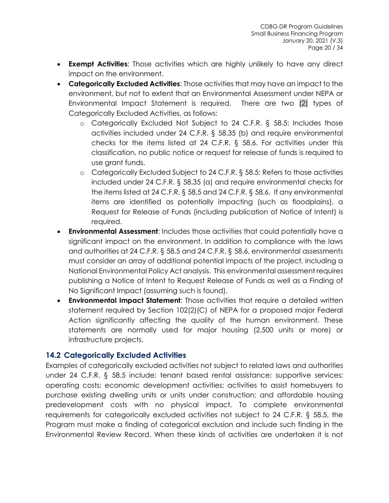- **Exempt Activities**: Those activities which are highly unlikely to have any direct impact on the environment.
- **Categorically Excluded Activities**: Those activities that may have an impact to the environment, but not to extent that an Environmental Assessment under NEPA or Environmental Impact Statement is required. There are two (2) types of Categorically Excluded Activities, as follows:
	- o Categorically Excluded Not Subject to 24 C.F.R. § 58.5: Includes those activities included under 24 C.F.R. § 58.35 (b) and require environmental checks for the items listed at 24 C.F.R. § 58.6. For activities under this classification, no public notice or request for release of funds is required to use grant funds.
	- o Categorically Excluded Subject to 24 C.F.R. § 58.5: Refers to those activities included under 24 C.F.R. § 58.35 (a) and require environmental checks for the items listed at 24 C.F.R. § 58.5 and 24 C.F.R. § 58.6. If any environmental items are identified as potentially impacting (such as floodplains), a Request for Release of Funds (including publication of Notice of Intent) is required.
- **Environmental Assessment**: Includes those activities that could potentially have a significant impact on the environment. In addition to compliance with the laws and authorities at 24 C.F.R. § 58.5 and 24 C.F.R. § 58.6, environmental assessments must consider an array of additional potential impacts of the project, including a National Environmental Policy Act analysis. This environmental assessment requires publishing a Notice of Intent to Request Release of Funds as well as a Finding of No Significant Impact (assuming such is found).
- **Environmental Impact Statement:** Those activities that require a detailed written statement required by Section 102(2)(C) of NEPA for a proposed major Federal Action significantly affecting the quality of the human environment. These statements are normally used for major housing (2,500 units or more) or infrastructure projects.

#### <span id="page-19-0"></span>**14.2 Categorically Excluded Activities**

Examples of categorically excluded activities not subject to related laws and authorities under 24 C.F.R. § 58.5 include: tenant based rental assistance; supportive services; operating costs; economic development activities; activities to assist homebuyers to purchase existing dwelling units or units under construction; and affordable housing predevelopment costs with no physical impact. To complete environmental requirements for categorically excluded activities not subject to 24 C.F.R. § 58.5, the Program must make a finding of categorical exclusion and include such finding in the Environmental Review Record. When these kinds of activities are undertaken it is not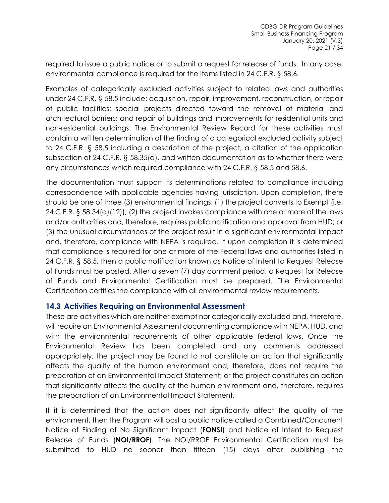required to issue a public notice or to submit a request for release of funds. In any case, environmental compliance is required for the items listed in 24 C.F.R. § 58.6.

Examples of categorically excluded activities subject to related laws and authorities under 24 C.F.R. § 58.5 include: acquisition, repair, improvement, reconstruction, or repair of public facilities; special projects directed toward the removal of material and architectural barriers; and repair of buildings and improvements for residential units and non-residential buildings. The Environmental Review Record for these activities must contain a written determination of the finding of a categorical excluded activity subject to 24 C.F.R. § 58.5 including a description of the project, a citation of the application subsection of 24 C.F.R. § 58.35(a), and written documentation as to whether there were any circumstances which required compliance with 24 C.F.R. § 58.5 and 58.6.

The documentation must support its determinations related to compliance including correspondence with applicable agencies having jurisdiction. Upon completion, there should be one of three (3) environmental findings: (1) the project converts to Exempt (i.e. 24 C.F.R. § 58.34(a)(12)); (2) the project invokes compliance with one or more of the laws and/or authorities and, therefore, requires public notification and approval from HUD; or (3) the unusual circumstances of the project result in a significant environmental impact and, therefore, compliance with NEPA is required. If upon completion it is determined that compliance is required for one or more of the Federal laws and authorities listed in 24 C.F.R. § 58.5, then a public notification known as Notice of Intent to Request Release of Funds must be posted. After a seven (7) day comment period, a Request for Release of Funds and Environmental Certification must be prepared. The Environmental Certification certifies the compliance with all environmental review requirements.

#### <span id="page-20-0"></span>**14.3 Activities Requiring an Environmental Assessment**

These are activities which are neither exempt nor categorically excluded and, therefore, will require an Environmental Assessment documenting compliance with NEPA, HUD, and with the environmental requirements of other applicable federal laws. Once the Environmental Review has been completed and any comments addressed appropriately, the project may be found to not constitute an action that significantly affects the quality of the human environment and, therefore, does not require the preparation of an Environmental Impact Statement; or the project constitutes an action that significantly affects the quality of the human environment and, therefore, requires the preparation of an Environmental Impact Statement.

If it is determined that the action does not significantly affect the quality of the environment, then the Program will post a public notice called a Combined/Concurrent Notice of Finding of No Significant Impact (**FONSI**) and Notice of Intent to Request Release of Funds (**NOI/RROF**). The NOI/RROF Environmental Certification must be submitted to HUD no sooner than fifteen (15) days after publishing the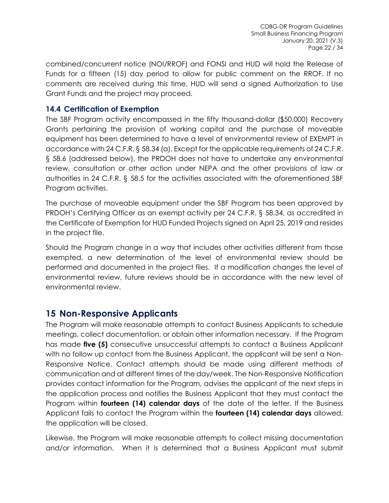combined/concurrent notice (NOI/RROF) and FONSI and HUD will hold the Release of Funds for a fifteen (15) day period to allow for public comment on the RROF. If no comments are received during this time, HUD will send a signed Authorization to Use Grant Funds and the project may proceed.

#### <span id="page-21-0"></span>**14.4 Certification of Exemption**

The SBF Program activity encompassed in the fifty thousand-dollar (\$50,000) Recovery Grants pertaining the provision of working capital and the purchase of moveable equipment has been determined to have a level of environmental review of EXEMPT in accordance with 24 C.F.R. § 58.34 (a). Except for the applicable requirements of 24 C.F.R. § 58.6 (addressed below), the PRDOH does not have to undertake any environmental review, consultation or other action under NEPA and the other provisions of law or authorities in 24 C.F.R. § 58.5 for the activities associated with the aforementioned SBF Program activities.

The purchase of moveable equipment under the SBF Program has been approved by PRDOH's Certifying Officer as an exempt activity per 24 C.F.R. § 58.34, as accredited in the Certificate of Exemption for HUD Funded Projects signed on April 25, 2019 and resides in the project file.

Should the Program change in a way that includes other activities different from those exempted, a new determination of the level of environmental review should be performed and documented in the project files. If a modification changes the level of environmental review, future reviews should be in accordance with the new level of environmental review.

# <span id="page-21-1"></span>**15 Non-Responsive Applicants**

The Program will make reasonable attempts to contact Business Applicants to schedule meetings, collect documentation, or obtain other information necessary. If the Program has made **five (5)** consecutive unsuccessful attempts to contact a Business Applicant with no follow up contact from the Business Applicant, the applicant will be sent a Non-Responsive Notice. Contact attempts should be made using different methods of communication and at different times of the day/week. The Non-Responsive Notification provides contact information for the Program, advises the applicant of the next steps in the application process and notifies the Business Applicant that they must contact the Program within **fourteen (14) calendar days** of the date of the letter. If the Business Applicant fails to contact the Program within the **fourteen (14) calendar days** allowed, the application will be closed.

Likewise, the Program will make reasonable attempts to collect missing documentation and/or information. When it is determined that a Business Applicant must submit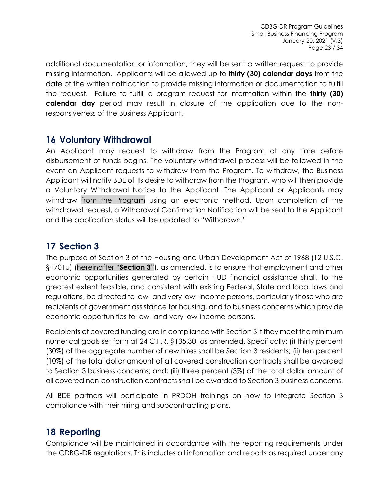additional documentation or information, they will be sent a written request to provide missing information. Applicants will be allowed up to **thirty (30) calendar days** from the date of the written notification to provide missing information or documentation to fulfill the request. Failure to fulfill a program request for information within the **thirty (30) calendar day** period may result in closure of the application due to the nonresponsiveness of the Business Applicant.

## <span id="page-22-0"></span>**16 Voluntary Withdrawal**

An Applicant may request to withdraw from the Program at any time before disbursement of funds begins. The voluntary withdrawal process will be followed in the event an Applicant requests to withdraw from the Program. To withdraw, the Business Applicant will notify BDE of its desire to withdraw from the Program, who will then provide a Voluntary Withdrawal Notice to the Applicant. The Applicant or Applicants may withdraw from the Program using an electronic method. Upon completion of the withdrawal request, a Withdrawal Confirmation Notification will be sent to the Applicant and the application status will be updated to "Withdrawn."

# <span id="page-22-1"></span>**17 Section 3**

The purpose of Section 3 of the Housing and Urban Development Act of 1968 (12 U.S.C. §1701u) (hereinafter "**Section 3**"), as amended, is to ensure that employment and other economic opportunities generated by certain HUD financial assistance shall, to the greatest extent feasible, and consistent with existing Federal, State and local laws and regulations, be directed to low- and very low- income persons, particularly those who are recipients of government assistance for housing, and to business concerns which provide economic opportunities to low- and very low-income persons.

Recipients of covered funding are in compliance with Section 3 if they meet the minimum numerical goals set forth at 24 C.F.R. §135.30, as amended. Specifically: (i) thirty percent (30%) of the aggregate number of new hires shall be Section 3 residents; (ii) ten percent (10%) of the total dollar amount of all covered construction contracts shall be awarded to Section 3 business concerns; and; (iii) three percent (3%) of the total dollar amount of all covered non-construction contracts shall be awarded to Section 3 business concerns.

All BDE partners will participate in PRDOH trainings on how to integrate Section 3 compliance with their hiring and subcontracting plans.

# <span id="page-22-2"></span>**18 Reporting**

Compliance will be maintained in accordance with the reporting requirements under the CDBG-DR regulations. This includes all information and reports as required under any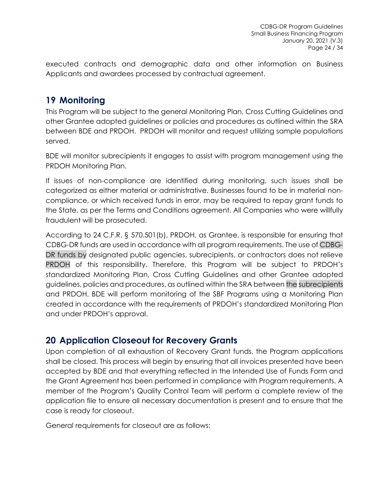executed contracts and demographic data and other information on Business Applicants and awardees processed by contractual agreement.

# <span id="page-23-0"></span>**19 Monitoring**

This Program will be subject to the general Monitoring Plan, Cross Cutting Guidelines and other Grantee adopted guidelines or policies and procedures as outlined within the SRA between BDE and PRDOH. PRDOH will monitor and request utilizing sample populations served.

BDE will monitor subrecipients it engages to assist with program management using the PRDOH Monitoring Plan.

If issues of non-compliance are identified during monitoring, such issues shall be categorized as either material or administrative. Businesses found to be in material noncompliance, or which received funds in error, may be required to repay grant funds to the State, as per the Terms and Conditions agreement. All Companies who were willfully fraudulent will be prosecuted.

According to 24 C.F.R. § 570.501(b), PRDOH, as Grantee, is responsible for ensuring that CDBG-DR funds are used in accordance with all program requirements. The use of CDBG-DR funds by designated public agencies, subrecipients, or contractors does not relieve PRDOH of this responsibility. Therefore, this Program will be subject to PRDOH's standardized Monitoring Plan, Cross Cutting Guidelines and other Grantee adopted guidelines, policies and procedures, as outlined within the SRA between the subrecipients and PRDOH. BDE will perform monitoring of the SBF Programs using a Monitoring Plan created in accordance with the requirements of PRDOH's standardized Monitoring Plan and under PRDOH's approval.

## <span id="page-23-1"></span>**20 Application Closeout for Recovery Grants**

Upon completion of all exhaustion of Recovery Grant funds, the Program applications shall be closed. This process will begin by ensuring that all invoices presented have been accepted by BDE and that everything reflected in the Intended Use of Funds Form and the Grant Agreement has been performed in compliance with Program requirements. A member of the Program's Quality Control Team will perform a complete review of the application file to ensure all necessary documentation is present and to ensure that the case is ready for closeout.

General requirements for closeout are as follows: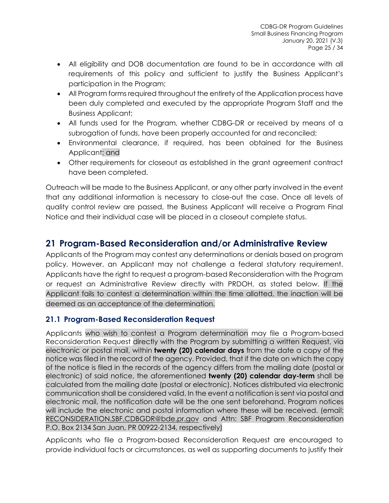- All eligibility and DOB documentation are found to be in accordance with all requirements of this policy and sufficient to justify the Business Applicant's participation in the Program;
- All Program forms required throughout the entirety of the Application process have been duly completed and executed by the appropriate Program Staff and the Business Applicant;
- All funds used for the Program, whether CDBG-DR or received by means of a subrogation of funds, have been properly accounted for and reconciled;
- Environmental clearance, if required, has been obtained for the Business Applicant; and
- Other requirements for closeout as established in the grant agreement contract have been completed.

Outreach will be made to the Business Applicant, or any other party involved in the event that any additional information is necessary to close-out the case. Once all levels of quality control review are passed, the Business Applicant will receive a Program Final Notice and their individual case will be placed in a closeout complete status.

# <span id="page-24-0"></span>**21 Program-Based Reconsideration and/or Administrative Review**

Applicants of the Program may contest any determinations or denials based on program policy. However, an Applicant may not challenge a federal statutory requirement. Applicants have the right to request a program-based Reconsideration with the Program or request an Administrative Review directly with PRDOH, as stated below. If the Applicant fails to contest a determination within the time allotted, the inaction will be deemed as an acceptance of the determination.

## <span id="page-24-1"></span>**21.1 Program-Based Reconsideration Request**

Applicants who wish to contest a Program determination may file a Program-based Reconsideration Request directly with the Program by submitting a written Request, via electronic or postal mail, within **twenty (20) calendar days** from the date a copy of the notice was filed in the record of the agency. Provided, that if the date on which the copy of the notice is filed in the records of the agency differs from the mailing date (postal or electronic) of said notice, the aforementioned **twenty (20) calendar day-term** shall be calculated from the mailing date (postal or electronic). Notices distributed via electronic communication shall be considered valid. In the event a notification is sent via postal and electronic mail, the notification date will be the one sent beforehand. Program notices will include the electronic and postal information where these will be received. (email: [RECONSIDERATION.SBF.CDBGDR@bde.pr.gov](mailto:RECONSIDERATION.SBF.CDBGDR@bde.pr.gov) and Attn: SBF Program Reconsideration P.O. Box 2134 San Juan, PR 00922-2134, respectively)

Applicants who file a Program-based Reconsideration Request are encouraged to provide individual facts or circumstances, as well as supporting documents to justify their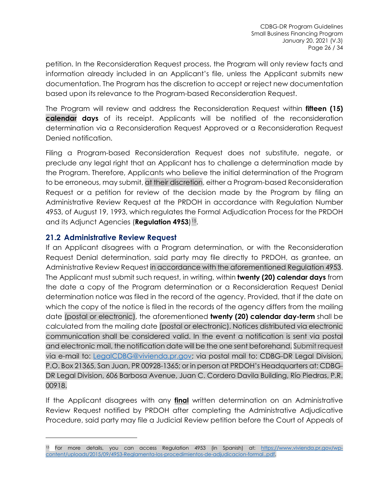petition. In the Reconsideration Request process, the Program will only review facts and information already included in an Applicant's file, unless the Applicant submits new documentation. The Program has the discretion to accept or reject new documentation based upon its relevance to the Program-based Reconsideration Request.

The Program will review and address the Reconsideration Request within **fifteen (15) calendar days** of its receipt. Applicants will be notified of the reconsideration determination via a Reconsideration Request Approved or a Reconsideration Request Denied notification.

Filing a Program-based Reconsideration Request does not substitute, negate, or preclude any legal right that an Applicant has to challenge a determination made by the Program. Therefore, Applicants who believe the initial determination of the Program to be erroneous, may submit, at their discretion, either a Program-based Reconsideration Request or a petition for review of the decision made by the Program by filing an Administrative Review Request at the PRDOH in accordance with Regulation Number 4953, of August 19, 1993, which regulates the Formal Adjudication Process for the PRDOH and its Adjunct Agencies (**Regulation 4953**)[15](#page-25-1).

#### <span id="page-25-0"></span>**21.2 Administrative Review Request**

 $\overline{a}$ 

If an Applicant disagrees with a Program determination, or with the Reconsideration Request Denial determination, said party may file directly to PRDOH, as grantee, an Administrative Review Request in accordance with the aforementioned Regulation 4953. The Applicant must submit such request, in writing, within **twenty (20) calendar days** from the date a copy of the Program determination or a Reconsideration Request Denial determination notice was filed in the record of the agency. Provided, that if the date on which the copy of the notice is filed in the records of the agency differs from the mailing date (postal or electronic), the aforementioned **twenty (20) calendar day-term** shall be calculated from the mailing date (postal or electronic). Notices distributed via electronic communication shall be considered valid. In the event a notification is sent via postal and electronic mail, the notification date will be the one sent beforehand. Submit request via e-mail to: [LegalCDBG@vivienda.pr.gov;](mailto:LegalCDBG@vivienda.pr.gov) via postal mail to: CDBG-DR Legal Division, P.O. Box 21365, San Juan, PR 00928-1365; or in person at PRDOH's Headquarters at: CDBG-DR Legal Division, 606 Barbosa Avenue, Juan C. Cordero Davila Building, Río Piedras, P.R. 00918.

If the Applicant disagrees with any **final** written determination on an Administrative Review Request notified by PRDOH after completing the Administrative Adjudicative Procedure, said party may file a Judicial Review petition before the Court of Appeals of

<span id="page-25-1"></span><sup>15</sup> For more details, you can access Regulation 4953 (in Spanish) at: [https://www.vivienda.pr.gov/wp](https://www.vivienda.pr.gov/wp-content/uploads/2015/09/4953-Reglamenta-los-procedimientos-de-adjudicacion-formal..pdf)[content/uploads/2015/09/4953-Reglamenta-los-procedimientos-de-adjudicacion-formal..pdf.](https://www.vivienda.pr.gov/wp-content/uploads/2015/09/4953-Reglamenta-los-procedimientos-de-adjudicacion-formal..pdf)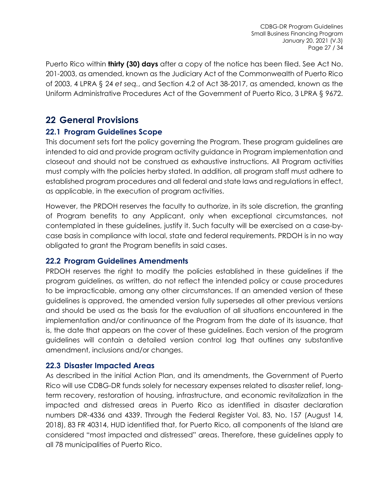Puerto Rico within **thirty (30) days** after a copy of the notice has been filed. See Act No. 201-2003, as amended, known as the Judiciary Act of the Commonwealth of Puerto Rico of 2003, 4 LPRA § 24 *et seq.*, and Section 4.2 of Act 38-2017, as amended, known as the Uniform Administrative Procedures Act of the Government of Puerto Rico, 3 LPRA § 9672.

# <span id="page-26-0"></span>**22 General Provisions**

## <span id="page-26-1"></span>**22.1 Program Guidelines Scope**

This document sets fort the policy governing the Program. These program guidelines are intended to aid and provide program activity guidance in Program implementation and closeout and should not be construed as exhaustive instructions. All Program activities must comply with the policies herby stated. In addition, all program staff must adhere to established program procedures and all federal and state laws and regulations in effect, as applicable, in the execution of program activities.

However, the PRDOH reserves the faculty to authorize, in its sole discretion, the granting of Program benefits to any Applicant, only when exceptional circumstances, not contemplated in these guidelines, justify it. Such faculty will be exercised on a case-bycase basis in compliance with local, state and federal requirements. PRDOH is in no way obligated to grant the Program benefits in said cases.

#### <span id="page-26-2"></span>**22.2 Program Guidelines Amendments**

PRDOH reserves the right to modify the policies established in these guidelines if the program guidelines, as written, do not reflect the intended policy or cause procedures to be impracticable, among any other circumstances. If an amended version of these guidelines is approved, the amended version fully supersedes all other previous versions and should be used as the basis for the evaluation of all situations encountered in the implementation and/or continuance of the Program from the date of its issuance, that is, the date that appears on the cover of these guidelines. Each version of the program guidelines will contain a detailed version control log that outlines any substantive amendment, inclusions and/or changes.

## <span id="page-26-3"></span>**22.3 Disaster Impacted Areas**

As described in the initial Action Plan, and its amendments, the Government of Puerto Rico will use CDBG-DR funds solely for necessary expenses related to disaster relief, longterm recovery, restoration of housing, infrastructure, and economic revitalization in the impacted and distressed areas in Puerto Rico as identified in disaster declaration numbers DR-4336 and 4339. Through the Federal Register Vol. 83, No. 157 (August 14, 2018), 83 FR 40314, HUD identified that, for Puerto Rico, all components of the Island are considered "most impacted and distressed" areas. Therefore, these guidelines apply to all 78 municipalities of Puerto Rico.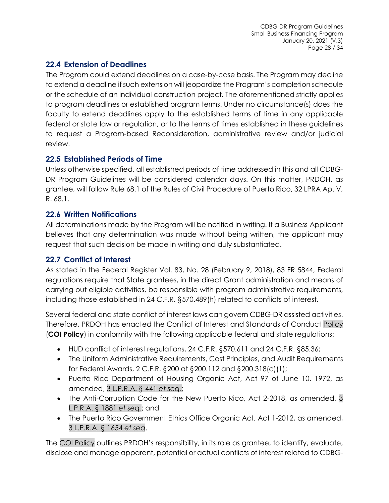#### <span id="page-27-0"></span>**22.4 Extension of Deadlines**

The Program could extend deadlines on a case-by-case basis. The Program may decline to extend a deadline if such extension will jeopardize the Program's completion schedule or the schedule of an individual construction project. The aforementioned strictly applies to program deadlines or established program terms. Under no circumstance(s) does the faculty to extend deadlines apply to the established terms of time in any applicable federal or state law or regulation, or to the terms of times established in these guidelines to request a Program-based Reconsideration, administrative review and/or judicial review.

#### <span id="page-27-1"></span>**22.5 Established Periods of Time**

Unless otherwise specified, all established periods of time addressed in this and all CDBG-DR Program Guidelines will be considered calendar days. On this matter, PRDOH, as grantee, will follow Rule 68.1 of the Rules of Civil Procedure of Puerto Rico, 32 LPRA Ap. V, R. 68.1.

## <span id="page-27-2"></span>**22.6 Written Notifications**

All determinations made by the Program will be notified in writing. If a Business Applicant believes that any determination was made without being written, the applicant may request that such decision be made in writing and duly substantiated.

#### <span id="page-27-3"></span>**22.7 Conflict of Interest**

As stated in the Federal Register Vol. 83, No. 28 (February 9, 2018), 83 FR 5844, Federal regulations require that State grantees, in the direct Grant administration and means of carrying out eligible activities, be responsible with program administrative requirements, including those established in 24 C.F.R. §570.489(h) related to conflicts of interest.

Several federal and state conflict of interest laws can govern CDBG-DR assisted activities. Therefore, PRDOH has enacted the Conflict of Interest and Standards of Conduct Policy (**COI Policy**) in conformity with the following applicable federal and state regulations:

- HUD conflict of interest regulations, 24 C.F.R. §570.611 and 24 C.F.R. §85.36;
- The Uniform Administrative Requirements, Cost Principles, and Audit Requirements for Federal Awards, 2 C.F.R. §200 at §200.112 and §200.318(c)(1);
- Puerto Rico Department of Housing Organic Act, Act 97 of June 10, 1972, as amended, 3 L.P.R.A. § 441 *et seq.*;
- The Anti-Corruption Code for the New Puerto Rico, Act 2-2018, as amended, 3 L.P.R.A. § 1881 *et seq.*; and
- The Puerto Rico Government Ethics Office Organic Act, Act 1-2012, as amended, 3 L.P.R.A. § 1654 *et seq*.

The COI Policy outlines PRDOH's responsibility, in its role as grantee, to identify, evaluate, disclose and manage apparent, potential or actual conflicts of interest related to CDBG-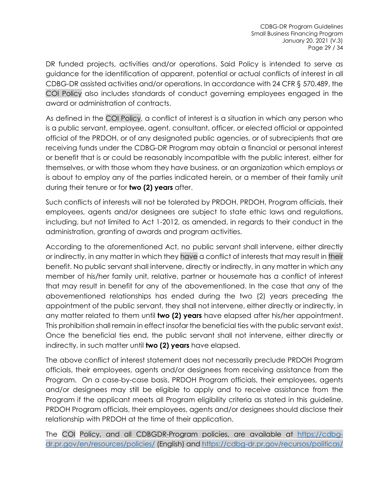DR funded projects, activities and/or operations. Said Policy is intended to serve as guidance for the identification of apparent, potential or actual conflicts of interest in all CDBG-DR assisted activities and/or operations. In accordance with 24 CFR § 570.489, the COI Policy also includes standards of conduct governing employees engaged in the award or administration of contracts.

As defined in the COI Policy, a conflict of interest is a situation in which any person who is a public servant, employee, agent, consultant, officer, or elected official or appointed official of the PRDOH, or of any designated public agencies, or of subrecipients that are receiving funds under the CDBG-DR Program may obtain a financial or personal interest or benefit that is or could be reasonably incompatible with the public interest, either for themselves, or with those whom they have business, or an organization which employs or is about to employ any of the parties indicated herein, or a member of their family unit during their tenure or for **two (2) years** after.

Such conflicts of interests will not be tolerated by PRDOH. PRDOH, Program officials, their employees, agents and/or designees are subject to state ethic laws and regulations, including, but not limited to Act 1-2012, as amended, in regards to their conduct in the administration, granting of awards and program activities.

According to the aforementioned Act, no public servant shall intervene, either directly or indirectly, in any matter in which they have a conflict of interests that may result in their benefit. No public servant shall intervene, directly or indirectly, in any matter in which any member of his/her family unit, relative, partner or housemate has a conflict of interest that may result in benefit for any of the abovementioned. In the case that any of the abovementioned relationships has ended during the two (2) years preceding the appointment of the public servant, they shall not intervene, either directly or indirectly, in any matter related to them until **two (2) years** have elapsed after his/her appointment. This prohibition shall remain in effect insofar the beneficial ties with the public servant exist. Once the beneficial ties end, the public servant shall not intervene, either directly or indirectly, in such matter until **two (2) years** have elapsed.

The above conflict of interest statement does not necessarily preclude PRDOH Program officials, their employees, agents and/or designees from receiving assistance from the Program. On a case-by-case basis, PRDOH Program officials, their employees, agents and/or designees may still be eligible to apply and to receive assistance from the Program if the applicant meets all Program eligibility criteria as stated in this guideline. PRDOH Program officials, their employees, agents and/or designees should disclose their relationship with PRDOH at the time of their application.

The COI Policy, and all CDBGDR-Program policies, are available at [https://cdbg](https://cdbg-dr.pr.gov/en/resources/policies/)[dr.pr.gov/en/resources/policies/](https://cdbg-dr.pr.gov/en/resources/policies/) (English) and<https://cdbg-dr.pr.gov/recursos/politicas/>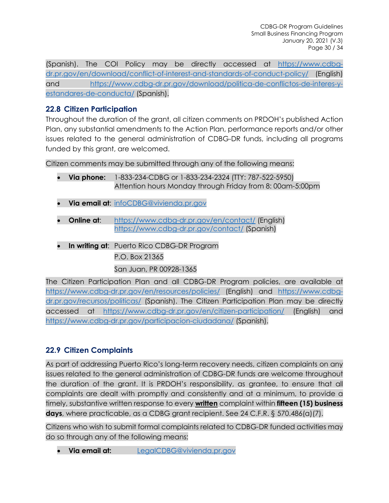(Spanish). The COI Policy may be directly accessed at [https://www.cdbg](https://www.cdbg-dr.pr.gov/en/download/conflict-of-interest-and-standards-of-conduct-policy/)[dr.pr.gov/en/download/conflict-of-interest-and-standards-of-conduct-policy/](https://www.cdbg-dr.pr.gov/en/download/conflict-of-interest-and-standards-of-conduct-policy/) (English) and [https://www.cdbg-dr.pr.gov/download/politica-de-conflictos-de-interes-y](https://www.cdbg-dr.pr.gov/download/politica-de-conflictos-de-interes-y-estandares-de-conducta/)[estandares-de-conducta/](https://www.cdbg-dr.pr.gov/download/politica-de-conflictos-de-interes-y-estandares-de-conducta/) (Spanish).

## <span id="page-29-0"></span>**22.8 Citizen Participation**

Throughout the duration of the grant, all citizen comments on PRDOH's published Action Plan, any substantial amendments to the Action Plan, performance reports and/or other issues related to the general administration of CDBG-DR funds, including all programs funded by this grant, are welcomed.

Citizen comments may be submitted through any of the following means:

- **Via phone:** 1-833-234-CDBG or 1-833-234-2324 (TTY: 787-522-5950) Attention hours Monday through Friday from 8: 00am-5:00pm
- **Via email at**: [infoCDBG@vivienda.pr.gov](mailto:infoCDBG@vivienda.pr.gov)
- **Online at**: <https://www.cdbg-dr.pr.gov/en/contact/> (English) <https://www.cdbg-dr.pr.gov/contact/> (Spanish)
- **In writing at**: Puerto Rico CDBG-DR Program P.O. Box 21365 San Juan, PR 00928-1365

The Citizen Participation Plan and all CDBG-DR Program policies, are available at <https://www.cdbg-dr.pr.gov/en/resources/policies/> (English) and [https://www.cdbg](https://www.cdbg-dr.pr.gov/recursos/politicas/)[dr.pr.gov/recursos/politicas/](https://www.cdbg-dr.pr.gov/recursos/politicas/) (Spanish). The Citizen Participation Plan may be directly accessed at <https://www.cdbg-dr.pr.gov/en/citizen-participation/> (English) and <https://www.cdbg-dr.pr.gov/participacion-ciudadana/> (Spanish).

## <span id="page-29-1"></span>**22.9 Citizen Complaints**

As part of addressing Puerto Rico's long-term recovery needs, citizen complaints on any issues related to the general administration of CDBG-DR funds are welcome throughout the duration of the grant. It is PRDOH's responsibility, as grantee, to ensure that all complaints are dealt with promptly and consistently and at a minimum, to provide a timely, substantive written response to every **written** complaint within **fifteen (15) business days**, where practicable, as a CDBG grant recipient. See 24 C.F.R. § 570.486(a)(7).

Citizens who wish to submit formal complaints related to CDBG-DR funded activities may do so through any of the following means:

• **Via email at:** [LegalCDBG@vivienda.pr.gov](mailto:LegalCDBG@vivienda.pr.gov)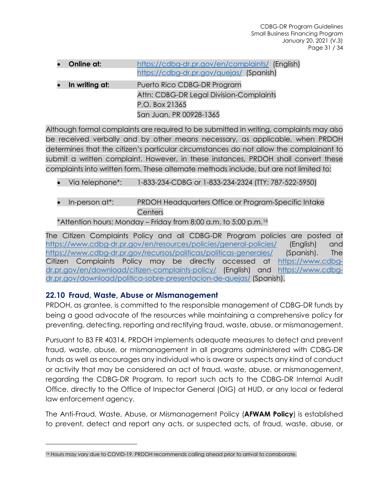| $\bullet$ | Online at:     | https://cdbg-dr.pr.gov/en/complaints/ (English) |
|-----------|----------------|-------------------------------------------------|
|           |                | https://cdbg-dr.pr.gov/quejas/ (Spanish)        |
| $\bullet$ | In writing at: | Puerto Rico CDBG-DR Program                     |
|           |                | Attn: CDBG-DR Legal Division-Complaints         |
|           |                | P.O. Box 21365                                  |
|           |                | San Juan, PR 00928-1365                         |

Although formal complaints are required to be submitted in writing, complaints may also be received verbally and by other means necessary, as applicable, when PRDOH determines that the citizen's particular circumstances do not allow the complainant to submit a written complaint. However, in these instances, PRDOH shall convert these complaints into written form. These alternate methods include, but are not limited to:

• Via telephone\*: 1-833-234-CDBG or 1-833-234-2324 (TTY: 787-522-5950)

## • In-person at\*: PRDOH Headquarters Office or Program-Specific Intake Centers

\*Attention hours: Monday – Friday from 8:00 a.m. to 5:00 p.m.[16](#page-30-1)

The Citizen Complaints Policy and all CDBG-DR Program policies are posted at <https://www.cdbg-dr.pr.gov/en/resources/policies/general-policies/> (English) and <https://www.cdbg-dr.pr.gov/recursos/politicas/politicas-generales/> (Spanish). The Citizen Complaints Policy may be directly accessed at [https://www.cdbg](https://www.cdbg-dr.pr.gov/en/download/citizen-complaints-policy/)[dr.pr.gov/en/download/citizen-complaints-policy/](https://www.cdbg-dr.pr.gov/en/download/citizen-complaints-policy/) (English) and [https://www.cdbg](https://www.cdbg-dr.pr.gov/download/politica-sobre-presentacion-de-quejas/)[dr.pr.gov/download/politica-sobre-presentacion-de-quejas/](https://www.cdbg-dr.pr.gov/download/politica-sobre-presentacion-de-quejas/) (Spanish).

#### <span id="page-30-0"></span>**22.10 Fraud, Waste, Abuse or Mismanagement**

 $\overline{a}$ 

PRDOH, as grantee, is committed to the responsible management of CDBG-DR funds by being a good advocate of the resources while maintaining a comprehensive policy for preventing, detecting, reporting and rectifying fraud, waste, abuse, or mismanagement.

Pursuant to 83 FR 40314, PRDOH implements adequate measures to detect and prevent fraud, waste, abuse, or mismanagement in all programs administered with CDBG-DR funds as well as encourages any individual who is aware or suspects any kind of conduct or activity that may be considered an act of fraud, waste, abuse, or mismanagement, regarding the CDBG-DR Program, to report such acts to the CDBG-DR Internal Audit Office, directly to the Office of Inspector General (OIG) at HUD, or any local or federal law enforcement agency.

The Anti-Fraud, Waste, Abuse, or Mismanagement Policy (**AFWAM Policy**) is established to prevent, detect and report any acts, or suspected acts, of fraud, waste, abuse, or

<span id="page-30-1"></span><sup>16</sup> Hours may vary due to COVID-19. PRDOH recommends calling ahead prior to arrival to corroborate.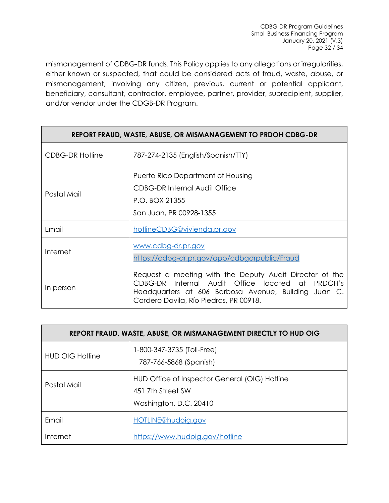mismanagement of CDBG-DR funds. This Policy applies to any allegations or irregularities, either known or suspected, that could be considered acts of fraud, waste, abuse, or mismanagement, involving any citizen, previous, current or potential applicant, beneficiary, consultant, contractor, employee, partner, provider, subrecipient, supplier, and/or vendor under the CDGB-DR Program.

| REPORT FRAUD, WASTE, ABUSE, OR MISMANAGEMENT TO PRDOH CDBG-DR |                                                                                                                                                                                                                  |  |
|---------------------------------------------------------------|------------------------------------------------------------------------------------------------------------------------------------------------------------------------------------------------------------------|--|
| <b>CDBG-DR Hotline</b>                                        | 787-274-2135 (English/Spanish/TTY)                                                                                                                                                                               |  |
| Postal Mail                                                   | Puerto Rico Department of Housing<br>CDBG-DR Internal Audit Office<br>P.O. BOX 21355<br>San Juan, PR 00928-1355                                                                                                  |  |
| Email                                                         | hotlineCDBG@vivienda.pr.gov                                                                                                                                                                                      |  |
| Internet                                                      | www.cdbg-dr.pr.gov<br>https://cdbg-dr.pr.gov/app/cdbgdrpublic/Fraud                                                                                                                                              |  |
| In person                                                     | Request a meeting with the Deputy Audit Director of the<br>Internal Audit Office located at PRDOH's<br>CDBG-DR<br>Headquarters at 606 Barbosa Avenue, Building Juan C.<br>Cordero Davila, Río Piedras, PR 00918. |  |

| REPORT FRAUD, WASTE, ABUSE, OR MISMANAGEMENT DIRECTLY TO HUD OIG |                                                                                              |  |
|------------------------------------------------------------------|----------------------------------------------------------------------------------------------|--|
| <b>HUD OIG Hotline</b>                                           | 1-800-347-3735 (Toll-Free)<br>787-766-5868 (Spanish)                                         |  |
| Postal Mail                                                      | HUD Office of Inspector General (OIG) Hotline<br>451 7th Street SW<br>Washington, D.C. 20410 |  |
| Email                                                            | HOTLINE@hudoig.gov                                                                           |  |
| Internet                                                         | https://www.hudoig.gov/hotline                                                               |  |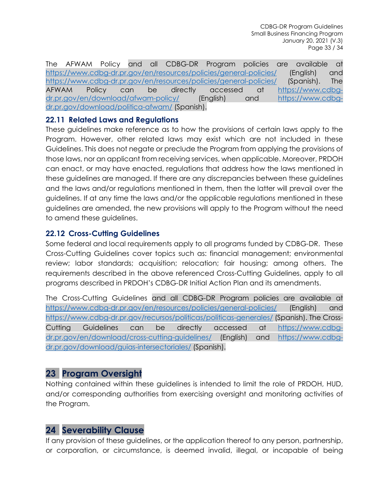The AFWAM Policy and all CDBG-DR Program policies are available at <https://www.cdbg-dr.pr.gov/en/resources/policies/general-policies/> (English) and <https://www.cdbg-dr.pr.gov/en/resources/policies/general-policies/> (Spanish). The AFWAM Policy can be directly accessed at [https://www.cdbg](https://www.cdbg-dr.pr.gov/en/download/afwam-policy/)[dr.pr.gov/en/download/afwam-policy/](https://www.cdbg-dr.pr.gov/en/download/afwam-policy/) (English) and [https://www.cdbg](https://www.cdbg-dr.pr.gov/download/politica-afwam/)[dr.pr.gov/download/politica-afwam/](https://www.cdbg-dr.pr.gov/download/politica-afwam/) (Spanish).

## <span id="page-32-0"></span>**22.11 Related Laws and Regulations**

These guidelines make reference as to how the provisions of certain laws apply to the Program. However, other related laws may exist which are not included in these Guidelines. This does not negate or preclude the Program from applying the provisions of those laws, nor an applicant from receiving services, when applicable. Moreover, PRDOH can enact, or may have enacted, regulations that address how the laws mentioned in these guidelines are managed. If there are any discrepancies between these guidelines and the laws and/or regulations mentioned in them, then the latter will prevail over the guidelines. If at any time the laws and/or the applicable regulations mentioned in these guidelines are amended, the new provisions will apply to the Program without the need to amend these guidelines.

## <span id="page-32-1"></span>**22.12 Cross-Cutting Guidelines**

Some federal and local requirements apply to all programs funded by CDBG-DR. These Cross-Cutting Guidelines cover topics such as: financial management; environmental review; labor standards; acquisition; relocation; fair housing; among others. The requirements described in the above referenced Cross-Cutting Guidelines, apply to all programs described in PRDOH's CDBG-DR Initial Action Plan and its amendments.

The Cross-Cutting Guidelines and all CDBG-DR Program policies are available at <https://www.cdbg-dr.pr.gov/en/resources/policies/general-policies/> (English) and <https://www.cdbg-dr.pr.gov/recursos/politicas/politicas-generales/> (Spanish). The Cross-Cutting Guidelines can be directly accessed at [https://www.cdbg](https://www.cdbg-dr.pr.gov/en/download/cross-cutting-guidelines/)[dr.pr.gov/en/download/cross-cutting-guidelines/](https://www.cdbg-dr.pr.gov/en/download/cross-cutting-guidelines/) (English) and [https://www.cdbg](https://www.cdbg-dr.pr.gov/download/guias-intersectoriales/)[dr.pr.gov/download/guias-intersectoriales/](https://www.cdbg-dr.pr.gov/download/guias-intersectoriales/) (Spanish).

# <span id="page-32-2"></span>**23 Program Oversight**

Nothing contained within these guidelines is intended to limit the role of PRDOH, HUD, and/or corresponding authorities from exercising oversight and monitoring activities of the Program.

# <span id="page-32-3"></span>**24 Severability Clause**

If any provision of these guidelines, or the application thereof to any person, partnership, or corporation, or circumstance, is deemed invalid, illegal, or incapable of being